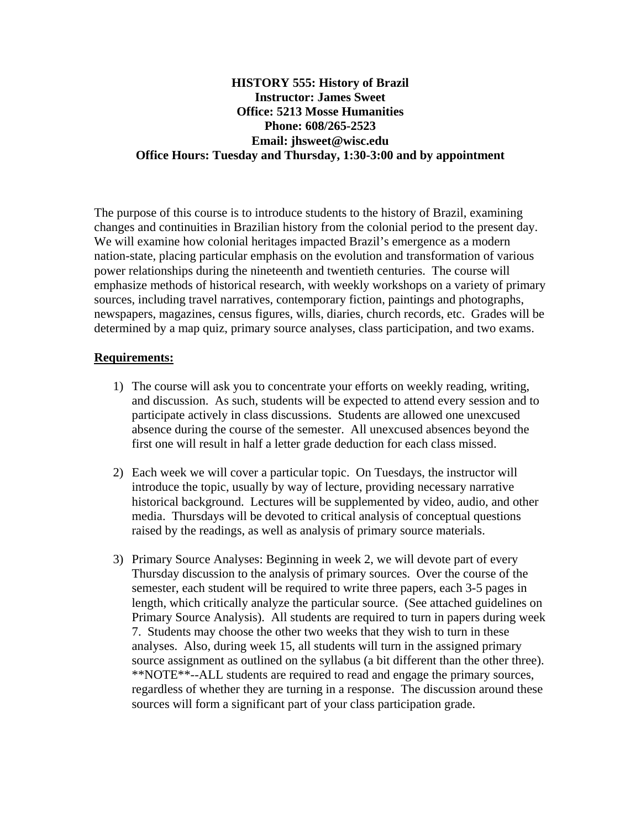# **HISTORY 555: History of Brazil Instructor: James Sweet Office: 5213 Mosse Humanities Phone: 608/265-2523 Email: jhsweet@wisc.edu Office Hours: Tuesday and Thursday, 1:30-3:00 and by appointment**

The purpose of this course is to introduce students to the history of Brazil, examining changes and continuities in Brazilian history from the colonial period to the present day. We will examine how colonial heritages impacted Brazil's emergence as a modern nation-state, placing particular emphasis on the evolution and transformation of various power relationships during the nineteenth and twentieth centuries. The course will emphasize methods of historical research, with weekly workshops on a variety of primary sources, including travel narratives, contemporary fiction, paintings and photographs, newspapers, magazines, census figures, wills, diaries, church records, etc. Grades will be determined by a map quiz, primary source analyses, class participation, and two exams.

# **Requirements:**

- 1) The course will ask you to concentrate your efforts on weekly reading, writing, and discussion. As such, students will be expected to attend every session and to participate actively in class discussions. Students are allowed one unexcused absence during the course of the semester. All unexcused absences beyond the first one will result in half a letter grade deduction for each class missed.
- 2) Each week we will cover a particular topic. On Tuesdays, the instructor will introduce the topic, usually by way of lecture, providing necessary narrative historical background. Lectures will be supplemented by video, audio, and other media. Thursdays will be devoted to critical analysis of conceptual questions raised by the readings, as well as analysis of primary source materials.
- 3) Primary Source Analyses: Beginning in week 2, we will devote part of every Thursday discussion to the analysis of primary sources. Over the course of the semester, each student will be required to write three papers, each 3-5 pages in length, which critically analyze the particular source. (See attached guidelines on Primary Source Analysis). All students are required to turn in papers during week 7. Students may choose the other two weeks that they wish to turn in these analyses. Also, during week 15, all students will turn in the assigned primary source assignment as outlined on the syllabus (a bit different than the other three). \*\*NOTE\*\*--ALL students are required to read and engage the primary sources, regardless of whether they are turning in a response. The discussion around these sources will form a significant part of your class participation grade.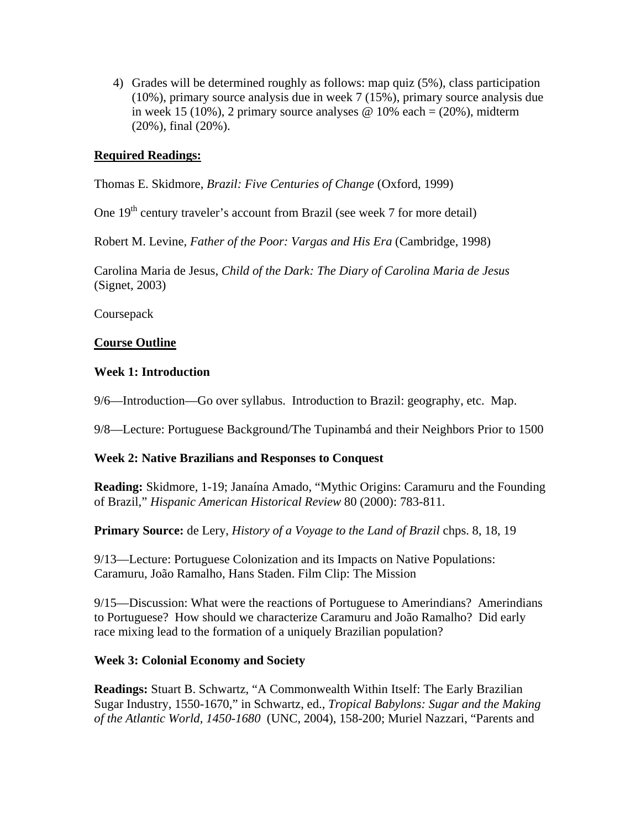4) Grades will be determined roughly as follows: map quiz (5%), class participation (10%), primary source analysis due in week 7 (15%), primary source analysis due in week 15 (10%), 2 primary source analyses  $\omega$  10% each = (20%), midterm (20%), final (20%).

### **Required Readings:**

Thomas E. Skidmore, *Brazil: Five Centuries of Change* (Oxford, 1999)

One  $19<sup>th</sup>$  century traveler's account from Brazil (see week 7 for more detail)

Robert M. Levine, *Father of the Poor: Vargas and His Era* (Cambridge, 1998)

Carolina Maria de Jesus, *Child of the Dark: The Diary of Carolina Maria de Jesus* (Signet, 2003)

**Coursepack** 

# **Course Outline**

#### **Week 1: Introduction**

9/6—Introduction—Go over syllabus. Introduction to Brazil: geography, etc. Map.

9/8—Lecture: Portuguese Background/The Tupinambá and their Neighbors Prior to 1500

#### **Week 2: Native Brazilians and Responses to Conquest**

**Reading:** Skidmore, 1-19; Janaína Amado, "Mythic Origins: Caramuru and the Founding of Brazil," *Hispanic American Historical Review* 80 (2000): 783-811.

**Primary Source:** de Lery, *History of a Voyage to the Land of Brazil* chps. 8, 18, 19

9/13—Lecture: Portuguese Colonization and its Impacts on Native Populations: Caramuru, João Ramalho, Hans Staden. Film Clip: The Mission

9/15—Discussion: What were the reactions of Portuguese to Amerindians? Amerindians to Portuguese? How should we characterize Caramuru and João Ramalho? Did early race mixing lead to the formation of a uniquely Brazilian population?

#### **Week 3: Colonial Economy and Society**

**Readings:** Stuart B. Schwartz, "A Commonwealth Within Itself: The Early Brazilian Sugar Industry, 1550-1670," in Schwartz, ed., *Tropical Babylons: Sugar and the Making of the Atlantic World, 1450-1680* (UNC, 2004), 158-200; Muriel Nazzari, "Parents and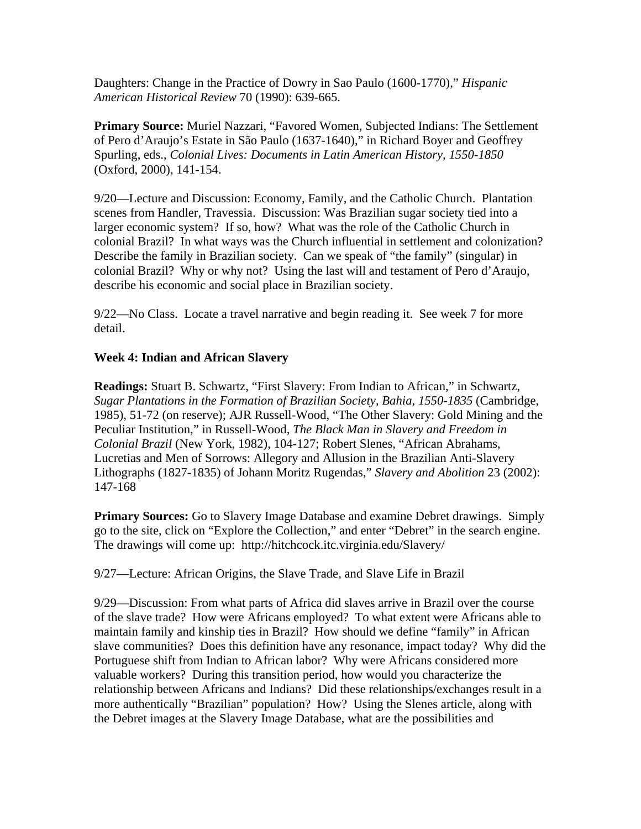Daughters: Change in the Practice of Dowry in Sao Paulo (1600-1770)," *Hispanic American Historical Review* 70 (1990): 639-665.

**Primary Source:** Muriel Nazzari, "Favored Women, Subjected Indians: The Settlement of Pero d'Araujo's Estate in São Paulo (1637-1640)," in Richard Boyer and Geoffrey Spurling, eds., *Colonial Lives: Documents in Latin American History, 1550-1850* (Oxford, 2000), 141-154.

9/20—Lecture and Discussion: Economy, Family, and the Catholic Church. Plantation scenes from Handler, Travessia. Discussion: Was Brazilian sugar society tied into a larger economic system? If so, how? What was the role of the Catholic Church in colonial Brazil? In what ways was the Church influential in settlement and colonization? Describe the family in Brazilian society. Can we speak of "the family" (singular) in colonial Brazil? Why or why not? Using the last will and testament of Pero d'Araujo, describe his economic and social place in Brazilian society.

9/22—No Class. Locate a travel narrative and begin reading it. See week 7 for more detail.

# **Week 4: Indian and African Slavery**

**Readings:** Stuart B. Schwartz, "First Slavery: From Indian to African," in Schwartz, *Sugar Plantations in the Formation of Brazilian Society, Bahia, 1550-1835* (Cambridge, 1985), 51-72 (on reserve); AJR Russell-Wood, "The Other Slavery: Gold Mining and the Peculiar Institution," in Russell-Wood, *The Black Man in Slavery and Freedom in Colonial Brazil* (New York, 1982), 104-127; Robert Slenes, "African Abrahams, Lucretias and Men of Sorrows: Allegory and Allusion in the Brazilian Anti-Slavery Lithographs (1827-1835) of Johann Moritz Rugendas," *Slavery and Abolition* 23 (2002): 147-168

**Primary Sources:** Go to Slavery Image Database and examine Debret drawings. Simply go to the site, click on "Explore the Collection," and enter "Debret" in the search engine. The drawings will come up: http://hitchcock.itc.virginia.edu/Slavery/

9/27—Lecture: African Origins, the Slave Trade, and Slave Life in Brazil

9/29—Discussion: From what parts of Africa did slaves arrive in Brazil over the course of the slave trade? How were Africans employed? To what extent were Africans able to maintain family and kinship ties in Brazil? How should we define "family" in African slave communities? Does this definition have any resonance, impact today? Why did the Portuguese shift from Indian to African labor? Why were Africans considered more valuable workers? During this transition period, how would you characterize the relationship between Africans and Indians? Did these relationships/exchanges result in a more authentically "Brazilian" population? How? Using the Slenes article, along with the Debret images at the Slavery Image Database, what are the possibilities and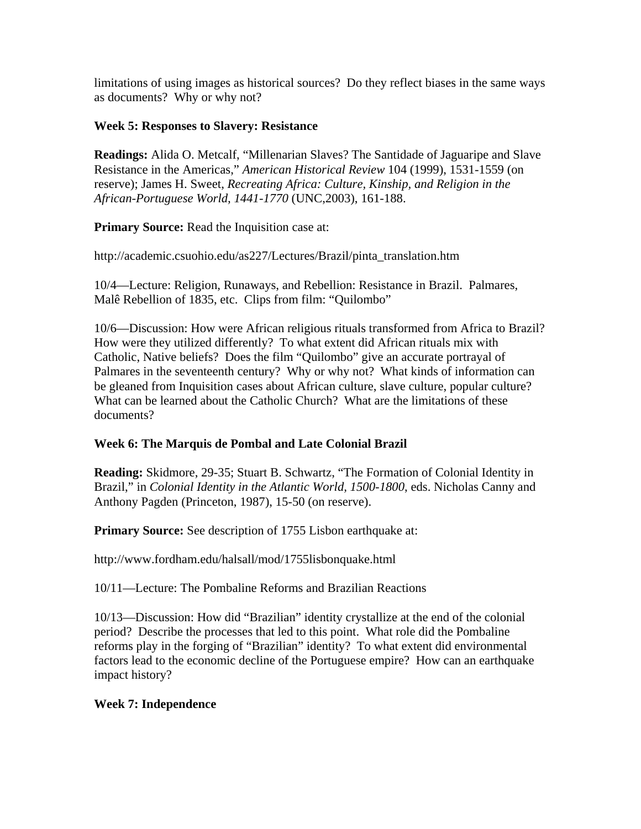limitations of using images as historical sources? Do they reflect biases in the same ways as documents? Why or why not?

# **Week 5: Responses to Slavery: Resistance**

**Readings:** Alida O. Metcalf, "Millenarian Slaves? The Santidade of Jaguaripe and Slave Resistance in the Americas," *American Historical Review* 104 (1999), 1531-1559 (on reserve); James H. Sweet, *Recreating Africa: Culture, Kinship, and Religion in the African-Portuguese World, 1441-1770* (UNC,2003), 161-188.

**Primary Source:** Read the Inquisition case at:

http://academic.csuohio.edu/as227/Lectures/Brazil/pinta\_translation.htm

10/4—Lecture: Religion, Runaways, and Rebellion: Resistance in Brazil. Palmares, Malê Rebellion of 1835, etc. Clips from film: "Quilombo"

10/6—Discussion: How were African religious rituals transformed from Africa to Brazil? How were they utilized differently? To what extent did African rituals mix with Catholic, Native beliefs? Does the film "Quilombo" give an accurate portrayal of Palmares in the seventeenth century? Why or why not? What kinds of information can be gleaned from Inquisition cases about African culture, slave culture, popular culture? What can be learned about the Catholic Church? What are the limitations of these documents?

# **Week 6: The Marquis de Pombal and Late Colonial Brazil**

**Reading:** Skidmore, 29-35; Stuart B. Schwartz, "The Formation of Colonial Identity in Brazil," in *Colonial Identity in the Atlantic World, 1500-1800*, eds. Nicholas Canny and Anthony Pagden (Princeton, 1987), 15-50 (on reserve).

**Primary Source:** See description of 1755 Lisbon earthquake at:

http://www.fordham.edu/halsall/mod/1755lisbonquake.html

10/11—Lecture: The Pombaline Reforms and Brazilian Reactions

10/13—Discussion: How did "Brazilian" identity crystallize at the end of the colonial period? Describe the processes that led to this point. What role did the Pombaline reforms play in the forging of "Brazilian" identity? To what extent did environmental factors lead to the economic decline of the Portuguese empire? How can an earthquake impact history?

# **Week 7: Independence**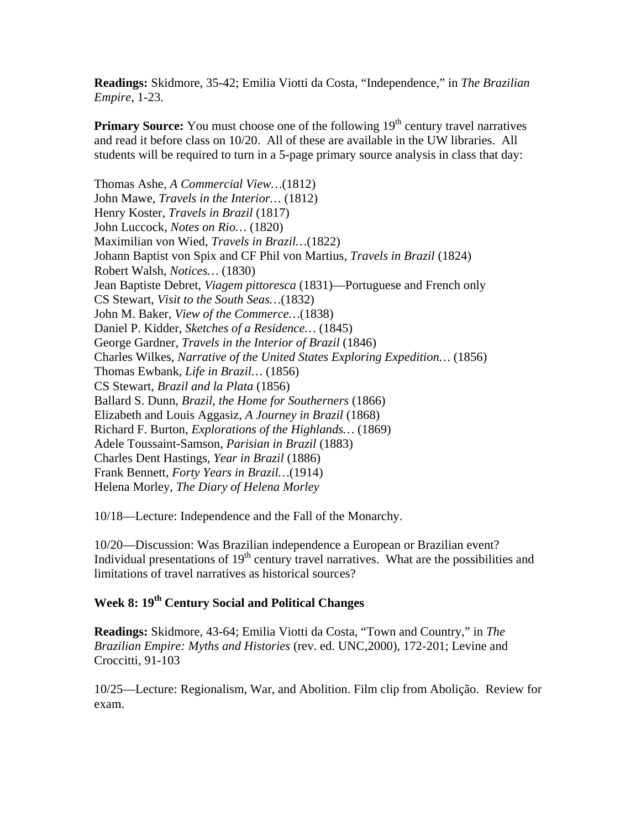**Readings:** Skidmore, 35-42; Emilia Viotti da Costa, "Independence," in *The Brazilian Empire*, 1-23.

**Primary Source:** You must choose one of the following 19<sup>th</sup> century travel narratives and read it before class on 10/20. All of these are available in the UW libraries. All students will be required to turn in a 5-page primary source analysis in class that day:

Thomas Ashe, *A Commercial View…*(1812) John Mawe, *Travels in the Interior…* (1812) Henry Koster, *Travels in Brazil* (1817) John Luccock, *Notes on Rio…* (1820) Maximilian von Wied, *Travels in Brazil…*(1822) Johann Baptist von Spix and CF Phil von Martius, *Travels in Brazil* (1824) Robert Walsh, *Notices…* (1830) Jean Baptiste Debret, *Viagem pittoresca* (1831)—Portuguese and French only CS Stewart, *Visit to the South Seas…*(1832) John M. Baker, *View of the Commerce…*(1838) Daniel P. Kidder, *Sketches of a Residence…* (1845) George Gardner, *Travels in the Interior of Brazil* (1846) Charles Wilkes, *Narrative of the United States Exploring Expedition…* (1856) Thomas Ewbank, *Life in Brazil…* (1856) CS Stewart, *Brazil and la Plata* (1856) Ballard S. Dunn, *Brazil, the Home for Southerners* (1866) Elizabeth and Louis Aggasiz, *A Journey in Brazil* (1868) Richard F. Burton, *Explorations of the Highlands…* (1869) Adele Toussaint-Samson, *Parisian in Brazil* (1883) Charles Dent Hastings, *Year in Brazil* (1886) Frank Bennett, *Forty Years in Brazil…*(1914) Helena Morley, *The Diary of Helena Morley*

10/18—Lecture: Independence and the Fall of the Monarchy.

10/20—Discussion: Was Brazilian independence a European or Brazilian event? Individual presentations of  $19<sup>th</sup>$  century travel narratives. What are the possibilities and limitations of travel narratives as historical sources?

# **Week 8: 19th Century Social and Political Changes**

**Readings:** Skidmore, 43-64; Emilia Viotti da Costa, "Town and Country," in *The Brazilian Empire: Myths and Histories* (rev. ed. UNC,2000), 172-201; Levine and Croccitti, 91-103

10/25—Lecture: Regionalism, War, and Abolition. Film clip from Abolição. Review for exam.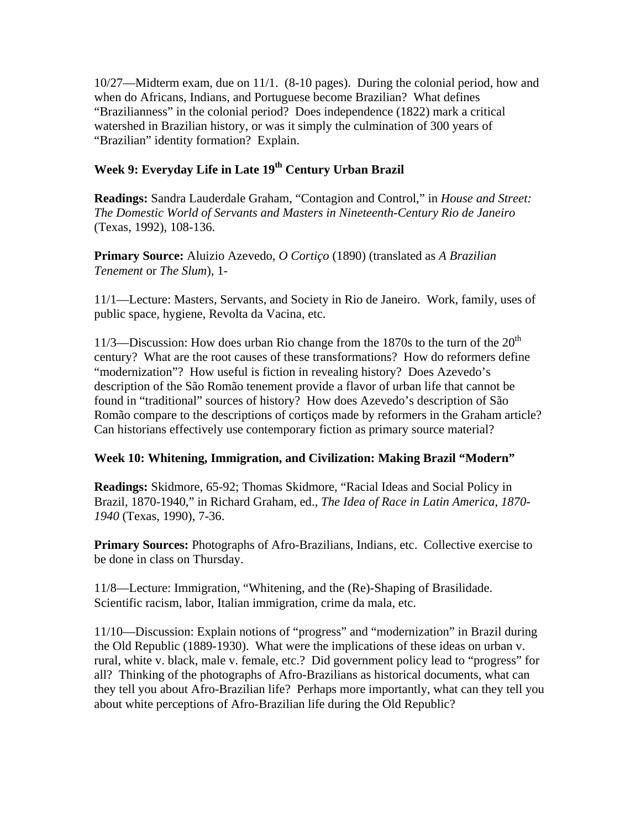10/27—Midterm exam, due on 11/1. (8-10 pages). During the colonial period, how and when do Africans, Indians, and Portuguese become Brazilian? What defines "Brazilianness" in the colonial period? Does independence (1822) mark a critical watershed in Brazilian history, or was it simply the culmination of 300 years of "Brazilian" identity formation? Explain.

# Week 9: Everyday Life in Late 19<sup>th</sup> Century Urban Brazil

**Readings:** Sandra Lauderdale Graham, "Contagion and Control," in *House and Street: The Domestic World of Servants and Masters in Nineteenth-Century Rio de Janeiro* (Texas, 1992), 108-136.

**Primary Source:** Aluizio Azevedo, *O Cortiço* (1890) (translated as *A Brazilian Tenement* or *The Slum*), 1-

11/1—Lecture: Masters, Servants, and Society in Rio de Janeiro. Work, family, uses of public space, hygiene, Revolta da Vacina, etc.

11/3—Discussion: How does urban Rio change from the 1870s to the turn of the  $20<sup>th</sup>$ century? What are the root causes of these transformations? How do reformers define "modernization"? How useful is fiction in revealing history? Does Azevedo's description of the São Romão tenement provide a flavor of urban life that cannot be found in "traditional" sources of history? How does Azevedo's description of São Romão compare to the descriptions of cortiços made by reformers in the Graham article? Can historians effectively use contemporary fiction as primary source material?

#### **Week 10: Whitening, Immigration, and Civilization: Making Brazil "Modern"**

**Readings:** Skidmore, 65-92; Thomas Skidmore, "Racial Ideas and Social Policy in Brazil, 1870-1940," in Richard Graham, ed., *The Idea of Race in Latin America, 1870- 1940* (Texas, 1990), 7-36.

**Primary Sources:** Photographs of Afro-Brazilians, Indians, etc. Collective exercise to be done in class on Thursday.

11/8—Lecture: Immigration, "Whitening, and the (Re)-Shaping of Brasilidade. Scientific racism, labor, Italian immigration, crime da mala, etc.

11/10—Discussion: Explain notions of "progress" and "modernization" in Brazil during the Old Republic (1889-1930). What were the implications of these ideas on urban v. rural, white v. black, male v. female, etc.? Did government policy lead to "progress" for all? Thinking of the photographs of Afro-Brazilians as historical documents, what can they tell you about Afro-Brazilian life? Perhaps more importantly, what can they tell you about white perceptions of Afro-Brazilian life during the Old Republic?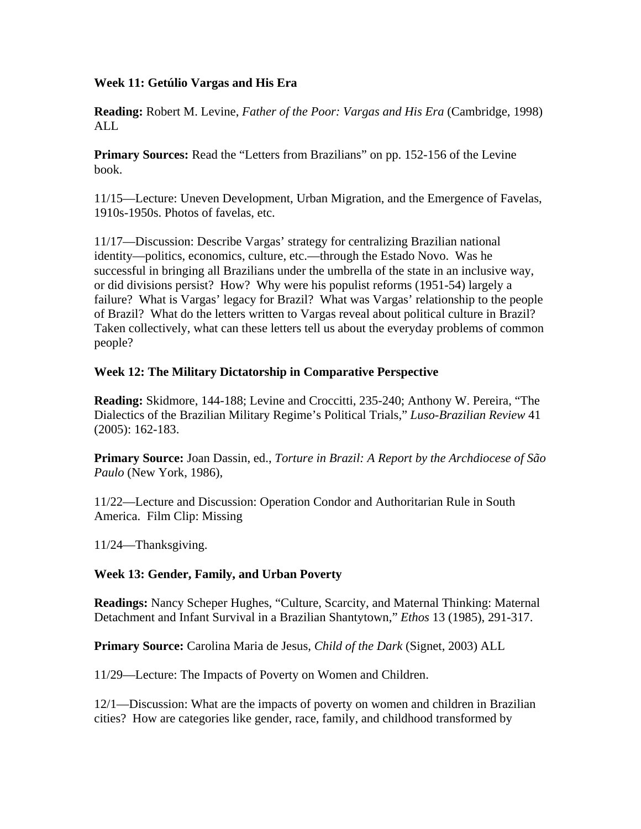# **Week 11: Getúlio Vargas and His Era**

**Reading:** Robert M. Levine, *Father of the Poor: Vargas and His Era* (Cambridge, 1998) ALL

**Primary Sources:** Read the "Letters from Brazilians" on pp. 152-156 of the Levine book.

11/15—Lecture: Uneven Development, Urban Migration, and the Emergence of Favelas, 1910s-1950s. Photos of favelas, etc.

11/17—Discussion: Describe Vargas' strategy for centralizing Brazilian national identity—politics, economics, culture, etc.—through the Estado Novo. Was he successful in bringing all Brazilians under the umbrella of the state in an inclusive way, or did divisions persist? How? Why were his populist reforms (1951-54) largely a failure? What is Vargas' legacy for Brazil? What was Vargas' relationship to the people of Brazil? What do the letters written to Vargas reveal about political culture in Brazil? Taken collectively, what can these letters tell us about the everyday problems of common people?

# **Week 12: The Military Dictatorship in Comparative Perspective**

**Reading:** Skidmore, 144-188; Levine and Croccitti, 235-240; Anthony W. Pereira, "The Dialectics of the Brazilian Military Regime's Political Trials," *Luso-Brazilian Review* 41 (2005): 162-183.

**Primary Source:** Joan Dassin, ed., *Torture in Brazil: A Report by the Archdiocese of São Paulo* (New York, 1986),

11/22—Lecture and Discussion: Operation Condor and Authoritarian Rule in South America. Film Clip: Missing

11/24—Thanksgiving.

# **Week 13: Gender, Family, and Urban Poverty**

**Readings:** Nancy Scheper Hughes, "Culture, Scarcity, and Maternal Thinking: Maternal Detachment and Infant Survival in a Brazilian Shantytown," *Ethos* 13 (1985), 291-317.

**Primary Source:** Carolina Maria de Jesus, *Child of the Dark* (Signet, 2003) ALL

11/29—Lecture: The Impacts of Poverty on Women and Children.

12/1—Discussion: What are the impacts of poverty on women and children in Brazilian cities? How are categories like gender, race, family, and childhood transformed by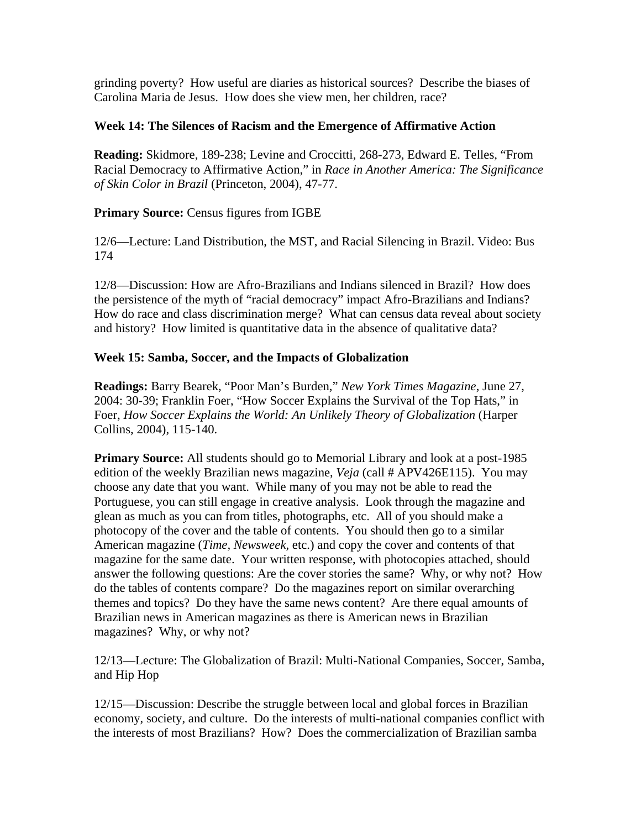grinding poverty? How useful are diaries as historical sources? Describe the biases of Carolina Maria de Jesus. How does she view men, her children, race?

# **Week 14: The Silences of Racism and the Emergence of Affirmative Action**

**Reading:** Skidmore, 189-238; Levine and Croccitti, 268-273, Edward E. Telles, "From Racial Democracy to Affirmative Action," in *Race in Another America: The Significance of Skin Color in Brazil* (Princeton, 2004), 47-77.

# **Primary Source:** Census figures from IGBE

12/6—Lecture: Land Distribution, the MST, and Racial Silencing in Brazil. Video: Bus 174

12/8—Discussion: How are Afro-Brazilians and Indians silenced in Brazil? How does the persistence of the myth of "racial democracy" impact Afro-Brazilians and Indians? How do race and class discrimination merge? What can census data reveal about society and history? How limited is quantitative data in the absence of qualitative data?

# **Week 15: Samba, Soccer, and the Impacts of Globalization**

**Readings:** Barry Bearek, "Poor Man's Burden," *New York Times Magazine*, June 27, 2004: 30-39; Franklin Foer, "How Soccer Explains the Survival of the Top Hats," in Foer, *How Soccer Explains the World: An Unlikely Theory of Globalization* (Harper Collins, 2004), 115-140.

**Primary Source:** All students should go to Memorial Library and look at a post-1985 edition of the weekly Brazilian news magazine, *Veja* (call # APV426E115). You may choose any date that you want. While many of you may not be able to read the Portuguese, you can still engage in creative analysis. Look through the magazine and glean as much as you can from titles, photographs, etc. All of you should make a photocopy of the cover and the table of contents. You should then go to a similar American magazine (*Time, Newsweek,* etc.) and copy the cover and contents of that magazine for the same date. Your written response, with photocopies attached, should answer the following questions: Are the cover stories the same? Why, or why not? How do the tables of contents compare? Do the magazines report on similar overarching themes and topics? Do they have the same news content? Are there equal amounts of Brazilian news in American magazines as there is American news in Brazilian magazines? Why, or why not?

12/13—Lecture: The Globalization of Brazil: Multi-National Companies, Soccer, Samba, and Hip Hop

12/15—Discussion: Describe the struggle between local and global forces in Brazilian economy, society, and culture. Do the interests of multi-national companies conflict with the interests of most Brazilians? How? Does the commercialization of Brazilian samba